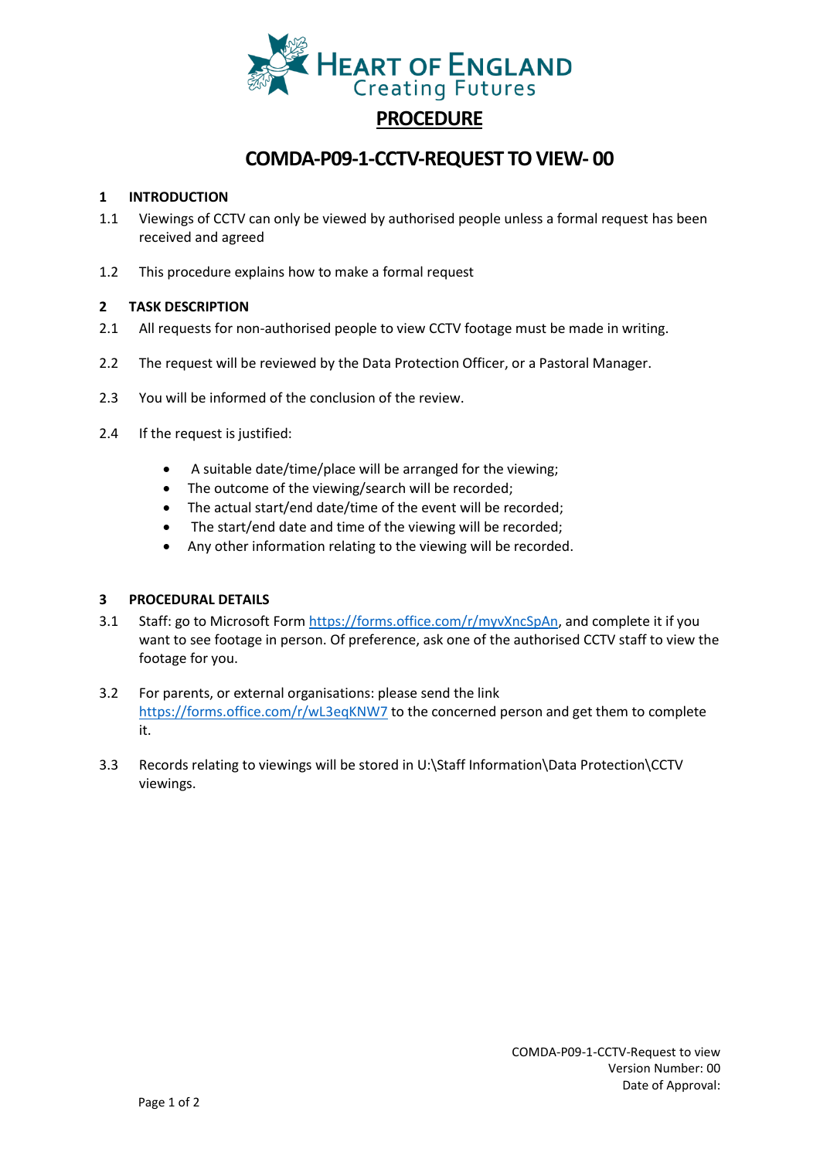

# **PROCEDURE**

### **COMDA-P09-1-CCTV-REQUEST TO VIEW- 00**

#### **1 INTRODUCTION**

- 1.1 Viewings of CCTV can only be viewed by authorised people unless a formal request has been received and agreed
- 1.2 This procedure explains how to make a formal request

#### **2 TASK DESCRIPTION**

- 2.1 All requests for non-authorised people to view CCTV footage must be made in writing.
- 2.2 The request will be reviewed by the Data Protection Officer, or a Pastoral Manager.
- 2.3 You will be informed of the conclusion of the review.
- 2.4 If the request is justified:
	- A suitable date/time/place will be arranged for the viewing;
	- The outcome of the viewing/search will be recorded;
	- The actual start/end date/time of the event will be recorded;
	- The start/end date and time of the viewing will be recorded;
	- Any other information relating to the viewing will be recorded.

#### **3 PROCEDURAL DETAILS**

- 3.1 Staff: go to Microsoft Form [https://forms.office.com/r/myvXncSpAn,](https://forms.office.com/r/myvXncSpAn) and complete it if you want to see footage in person. Of preference, ask one of the authorised CCTV staff to view the footage for you.
- 3.2 For parents, or external organisations: please send the link <https://forms.office.com/r/wL3eqKNW7> to the concerned person and get them to complete it.
- 3.3 Records relating to viewings will be stored in U:\Staff Information\Data Protection\CCTV viewings.